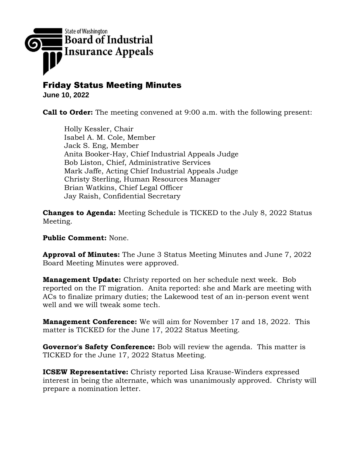

## Friday Status Meeting Minutes

**June 10, 2022**

**Call to Order:** The meeting convened at 9:00 a.m. with the following present:

Holly Kessler, Chair Isabel A. M. Cole, Member Jack S. Eng, Member Anita Booker-Hay, Chief Industrial Appeals Judge Bob Liston, Chief, Administrative Services Mark Jaffe, Acting Chief Industrial Appeals Judge Christy Sterling, Human Resources Manager Brian Watkins, Chief Legal Officer Jay Raish, Confidential Secretary

**Changes to Agenda:** Meeting Schedule is TICKED to the July 8, 2022 Status Meeting.

**Public Comment:** None.

**Approval of Minutes:** The June 3 Status Meeting Minutes and June 7, 2022 Board Meeting Minutes were approved.

**Management Update:** Christy reported on her schedule next week. Bob reported on the IT migration. Anita reported: she and Mark are meeting with ACs to finalize primary duties; the Lakewood test of an in-person event went well and we will tweak some tech.

**Management Conference:** We will aim for November 17 and 18, 2022. This matter is TICKED for the June 17, 2022 Status Meeting.

**Governor's Safety Conference:** Bob will review the agenda. This matter is TICKED for the June 17, 2022 Status Meeting.

**ICSEW Representative:** Christy reported Lisa Krause-Winders expressed interest in being the alternate, which was unanimously approved. Christy will prepare a nomination letter.